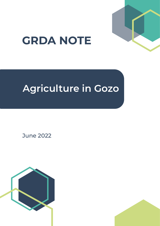

# **GRDA NOTE**

## **Agriculture in Gozo**

June 2022

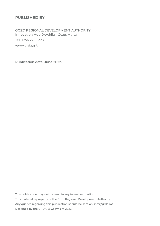## **PUBLISHED BY**

GOZO REGIONAL DEVELOPMENT AUTHORITY Innovation Hub, Xewkija - Gozo, Malta Tel: +356 22156333 www.grda.mt

**Publication date: June 2022.**

This publication may not be used in any format or medium. This material is property of the Gozo Regional Development Authority. Any queries regarding this publication should be sent on: info@grda.mt. Designed by the GRDA. © Copyright 2022.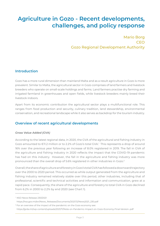## **Agriculture in Gozo - Recent developments, challenges, and policy response**

Mario Borg **CEO** Gozo Regional Development Authority

## **Introduction**

Gozo has a more rural dimension than mainland Malta and as a result agriculture in Gozo is more prevalent. Similar to Malta, the agricultural sector in Gozo comprises of land farmers and livestock breeders who operate on small-scale holdings and farms. Land farmers practise dry farming and irrigated farmland in greenhouses and open fields, while livestock breeders mainly breed their livestock indoors.

Apart from its economic contribution the agricultural sector plays a multifunctional role. This ranges from food production and security, culinary tradition, land stewardship, environmental conservation, and recreational landscape while it also serves as backdrop for the tourism industry.

## **Overview of recent agricultural developments**

#### *Gross Value Added (GVA)*

According to the latest regional data, in 2020, the GVA of the agricultural and fishing industry in Gozo amounted to €11.2 million or to 2.2% of Gozo's total GVA.<sup>1</sup> This represents a drop of around 16% over the previous year following an increase of 8.0% registered in 2019. The fall in GVA of the agriculture and fishing industry in 2020 reflects the impact that the COVID-19 pandemic has had on this industry. However, the fall in the agriculture and fishing industry was more pronounced than the overall drop of 5.6% registered in other industries in Gozo.2

Overall, the share of agriculture and forestry in Gozo's total GVA has followed a downward trajectory over the 2000 to 2020 period. This occurred as while output generated from the agriculture and fishing industry remained relatively stable over this period, other industries, including that of professional, scientific and technical activities and information and communication, grew at a rapid pace. Consequently, the share of the agriculture and forestry to total GVA in Gozo declined from 6.2% in 2000 to 2.2% by end 2020 (see Chart 1).

<sup>&</sup>lt;sup>1</sup> NSO News Release 230/2021

https://nso.gov.mt/en/News\_Releases/Documents/2021/12/News2021\_230.pdf

<sup>&</sup>lt;sup>2</sup> For an overview of the impact of the pandemic on the Gozo economy see: https://grda.mt/wp-content/uploads/2021/11/Note-on-Pandemic-Impact-on-Gozo-Economy-Final-Version-.pdf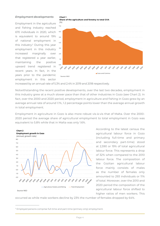#### *Employment developments*

Employment in the agriculture and fishing industry reached 670 individuals in 2020, which is equivalent to around 19% of national employment in this industry.3 During this year employment in this industry increased marginally over that registered a year earlier, maintaining the positive upward trend registered in recent years. In fact, in the years prior to the pandemic employment in this sector



increased by an annual rate of 5.3% and 2.4% in 2019 and 2018 respectively.

**Chart 1**

Notwithstanding the recent positive developments, over the last two decades, employment in this industry grew at a much slower pace than that of other industries in Gozo (see Chart 2). In fact, over the 2000 and 2020 period, employment in agriculture and fishing in Gozo grew by an average annual rate of around 1.1%, 1.2 percentage points lower than the average annual growth in total employment.

**Share of the agriculture and forestry to total GVA** 

Employment in agriculture in Gozo is also more robust vis-à-vis that of Malta. Over the 2000- 2020 period the average share of agricultural employment to total employment in Gozo was equivalent to 5.8% while that in Malta was only 1.6%.



According to the latest census the agricultural labour force in Gozo (including full-time and primary and secondary part-time) stood at 2,590 or 19% of total agricultural labour force. This represents a drop of 32% when compared to the 2010 labour force. The composition of the Gozitan agricultural labour force mainly consists of males as the number of females only amounted to 293 individuals or 11% of total. Moreover, over the 2010 and 2020 period the composition of the agricultural labour force shifted to higher ratios of men workers. This

occurred as while male workers decline by 23% the number of females dropped by 64%.

<sup>&</sup>lt;sup>3</sup> Employed persons comprise full-time and part-time (primary only) employment.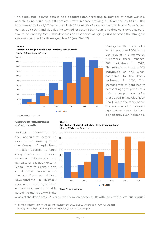The agricultural census data is also disaggregated according to number of hours worked, and thus one could also differentiate between those working full-time and part-time. The latter amounted to 2,301 individuals in 2020 or 88.8% of total agricultural labour force. When compared to 2010, individuals who worked less than 1,800 hours, and thus considered as parttimers, declined by 36.5%. This drop was evident across all age groups however, the strongest drop was recorded for those aged less 25 (see Chart 3).



**Distribution of agricultural labour force by annual hours**

**Chart 3**

Moving on the those who work more than 1,800 hours per year, or in other words full-timers, these reached 289 individuals in 2020. This represents a rise of 105 individuals or 47% when compared to the levels registered in 2010. This increase was evident nearly across all age groups and this being more prominently for those aged 55 and older (see Chart 4). On the other hand, the number of individuals aged 25 or lower declined significantly over this period.

Source: Census for Agriculture

#### *Census of Agriculture: salient results*

Additional information on the agriculture sector in Gozo can be drawn up from the Census of Agriculture. The latter is carried out once every decade and provides valuable information on agricultural developments in Malta. From this census one could obtain evidence on the use of agricultural land, developments in livestock population and agriculture employment trends. In this part of the analysis, we will take





Source: Census of Agriculture

a look at the data from 2020 census and compare these results with those of the previous census.<sup>4</sup>

4 For more information on the salient results of the 2020 and 2010 Census for Agriculture see: https://grda.mt/wp-content/uploads/2022/03/Agriculture-Census.pdf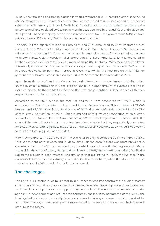In 2020, the total land declared by Gozitan farmers amounted to 2,617 hectares, of which 94% was utilised for agriculture. The remaining declared land consisted of unutilised agriculture area and other land which mainly includes infertile land. According to the results of the latest census, the percentage of land declared by Gozitan farmers in Gozo declined by around 7% over the 2020 and 2010 period. The vast majority of this land is rented either from the government (44%) or from private owners (22%) as only 34% of this land is owner occupied.

The total utilised agriculture land in Gozo as at end 2020 amounted to 2,449 hectares, which is equivalent to 23% of total utilised agriculture land in Malta. Around 80% or 1,891 hectares of utilised agricultural land in Gozo is used as arable land with most of this land being devoted to forage plants. A significantly smaller proportion of utilised agricultural land is dedicated to kitchen gardens (396 hectares) and permanent crops (162 hectares). With regards to the latter, this mainly consists of citrus plantations and vineyards as they account for around 60% of total hectares dedicated to permanent crops in Gozo. Meanwhile, the hectares on which kitchen gardens are cultivated have increased by around 70% from the levels recorded in 2010.

Apart from the use of land, the Census for Agriculture also provides important information on the livestock distribution in Gozo. Proportionality, a higher amount of livestock is found in Gozo compared to that in Malta reflecting the previously mentioned dependence of the two respective economies on agriculture.

According to the 2020 census, the stock of poultry in Gozo amounted to 197,953, which is equivalent to 19% of the total poultry found in the Maltese Islands. This consisted of 131,048 broilers and 66,905 laying hens. By the end of 2020, the stock of cattle reached 5,419 or 38% of total cattle population in Malta, with around half of this livestock consisting of dairy cows. Meanwhile, the stock of sheep in Gozo reached 4,882 while that of goats amounted to 1,424. The share of these two livestock to national total remained elevated as they respectively accounted for 30% and 25%. With regards to pigs these amounted to 2,409 by end 2020 which is equivalent to 6% of the total pig population in Malta.

When compared to the 2010 census, the stocks of poultry recorded a decline of around 20%. This was evident both in Gozo and in Malta, although the drop in Gozo was more prevalent. A downturn of around 40% was recorded for pigs which was in line with that registered in Malta. Meanwhile the stock of goats, sheep and cattle rose by 36%, 19% and 4% respectively. While the registered growth in goat livestock was similar to that registered in Malta, the increase in the number of sheep stock was stronger in Malta. On the other hand, while the stock of cattle in Malta declined by 14%, that in Gozo slightly increased.

## **The challenges**

The agricultural sector in Malta is beset by a number of resource constraints including scarcity of land, lack of natural resources in particular water, dependence on imports such as fodder and fertilizers, land use pressures and opportunity cost of land. These resource constraints hinder agricultural development and reduces the competitiveness of local operators. Consequently, the local agricultural sector constantly faces a number of challenges, some of which prevailed for a number of years, others developed or exacerbated in recent years, while new challenges will emerge in the future.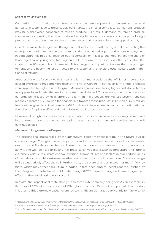#### *Short-term challenges*

Competition from foreign agricultural produce has been a prevailing concern for the local agricultural sector. Due to these supply constraints, the price of some local agricultural produce may be higher when compared to foreign produce. As a result, demand for foreign produce may be more appealing than that produced locally. Moreover, consumers tend to opt for foreign produce as more often than not these are marketed and presented in a more appealing way.

One of the main challenges that the agricultural sector is currently facing is that of attracting the younger generation to work in this sector. As identified in earlier part of the note, employment in agriculture has not only declined but its composition has also changed. In fact, the share of those aged 34 or younger to total agricultural employment declined over the years while the share of the 65+ age cohort increased. This change in composition implies that the younger generation are becoming less attracted to this sector as they explore other sectors with higher financial returns.

Another challenge faced by local farmers and farm animal breeders is that of higher import prices caused by the pandemic and more recently the war in Ukraine. In particular, farm animal breeders were impacted by higher prices for grain. Meanwhile, farmers are facing higher costs for fertilizers as supplies from Russia, the leading exporter, has dwindled. To alleviate some of the pressures currently being faced by local farmers and farm animal breeders, the Maltese Government has recently allocated €4.5 million for financial aid towards these producers.5 Of which, €2.5 million funds will be given to animal breeders, €0.5 million will be allocated towards the continuation of the scheme for pig's welfare and €1.5 million were allocated to farmers.

However, although this measure is commendable, further financial assistance may be required in the future to alleviate the ever-increasing costs that local farmers and breeders are and will continue to face.

#### *Medium to long-term challenges*

The present challenges faced by the agricultural sector may exacerbate in the future due to climate change. Changes in weather patterns and extreme weather events such as heatwaves, droughts and floods are on the rise. These changes have a considerable impact on economic activity and well-being, particularly in climate-sensitive sectors such as agriculture. The latter is extremely volatile to climate change as higher temperatures and lack of rainfall reduce yields of desirable crops while extreme weather events lead to costly interventions. Climate change will also negatively affect the soil. Furthermore, the severe changes in weather may influence biota, which may affect agricultural produce. In fact, according to recent report published by the Intergovernmental Panel on Climate Change (IPCC), climate change will have a significant effect on the global agricultural sector.<sup>6</sup>

In Malta, the impact of climate change is to some extent already being felt. As an example, in February of 2019 wind gusts reached 133km/hr and almost 50mm of rain poured down during this storm. This extreme weather event led to significant damages particularly for farmers.7 To

<sup>5</sup> https://agrikoltura.gov.mt/en/government/press%20releases/Pages/Press%20Releases/2022/PR220323mt.aspx

<sup>6</sup> For more information see: https://www.ipcc.ch/report/sixth-assessment-report-working-group-ii/

<sup>7</sup> https://timesofmalta.com/articles/view/hurricane-level-gusts-and-more-than-half-februarys-rain-the-storm-by.702997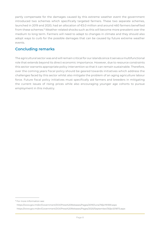partly compensate for the damages caused by this extreme weather event the government introduced two schemes which specifically targeted farmers. These two separate schemes, launched in 2019 and 2020, had an allocation of €5.0 million and around 460 farmers benefited from these schemes.<sup>8</sup> Weather-related shocks such as this will become more prevalent over the medium to long term. Farmers will need to adapt to changes in climate and they should also adopt ways to curb for the possible damages that can be caused by future extreme weather events.

## **Concluding remarks**

The agricultural sector was and will remain critical for our islands since it serves a multifunctional role that extends beyond its direct economic importance. However, due to resource constraints this sector warrants appropriate policy intervention so that it can remain sustainable. Therefore, over the coming years fiscal policy should be geared towards initiatives which address the challenges faced by this sector whilst also mitigate the problem of an aging agriculture labour force. Future fiscal policy initiatives must specifically aid farmers and breeders in mitigating the current issues of rising prices while also encouraging younger age cohorts to pursue employment in this industry.

<sup>&</sup>lt;sup>8</sup> For more information see: https://www.gov.mt/en/Government/DOI/Press%20Releases/Pages/2019/June/19/pr191359.aspx https://www.gov.mt/en/Government/DOI/Press%20Releases/Pages/2020/September/30/pr201873.aspx